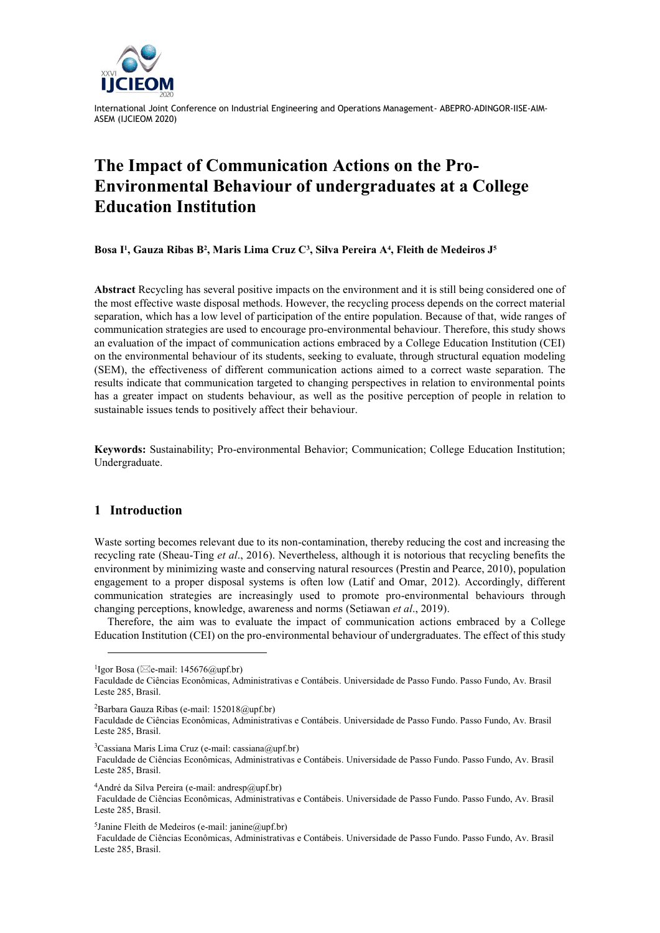

International Joint Conference on Industrial Engineering and Operations Management- ABEPRO-ADINGOR-IISE-AIM-ASEM (IJCIEOM 2020)

# **The Impact of Communication Actions on the Pro-Environmental Behaviour of undergraduates at a College Education Institution**

**Bosa I<sup>1</sup> , Gauza Ribas B<sup>2</sup> , Maris Lima Cruz C<sup>3</sup> , Silva Pereira A<sup>4</sup> , Fleith de Medeiros J<sup>5</sup>**

**Abstract** Recycling has several positive impacts on the environment and it is still being considered one of the most effective waste disposal methods. However, the recycling process depends on the correct material separation, which has a low level of participation of the entire population. Because of that, wide ranges of communication strategies are used to encourage pro-environmental behaviour. Therefore, this study shows an evaluation of the impact of communication actions embraced by a College Education Institution (CEI) on the environmental behaviour of its students, seeking to evaluate, through structural equation modeling (SEM), the effectiveness of different communication actions aimed to a correct waste separation. The results indicate that communication targeted to changing perspectives in relation to environmental points has a greater impact on students behaviour, as well as the positive perception of people in relation to sustainable issues tends to positively affect their behaviour.

**Keywords:** Sustainability; Pro-environmental Behavior; Communication; College Education Institution; Undergraduate.

# **1 Introduction**

l

Waste sorting becomes relevant due to its non-contamination, thereby reducing the cost and increasing the recycling rate (Sheau-Ting *et al*., 2016). Nevertheless, although it is notorious that recycling benefits the environment by minimizing waste and conserving natural resources (Prestin and Pearce, 2010), population engagement to a proper disposal systems is often low (Latif and Omar, 2012). Accordingly, different communication strategies are increasingly used to promote pro-environmental behaviours through changing perceptions, knowledge, awareness and norms (Setiawan *et al*., 2019).

Therefore, the aim was to evaluate the impact of communication actions embraced by a College Education Institution (CEI) on the pro-environmental behaviour of undergraduates. The effect of this study

<sup>2</sup>Barbara Gauza Ribas (e-mail: 152018@upf.br)

 $3$ Cassiana Maris Lima Cruz (e-mail: cassiana@upf.br)

Faculdade de Ciências Econômicas, Administrativas e Contábeis. Universidade de Passo Fundo. Passo Fundo, Av. Brasil Leste 285, Brasil.

<sup>4</sup>André da Silva Pereira (e-mail: andresp@upf.br)

<sup>5</sup>Janine Fleith de Medeiros (e-mail: janine@upf.br)

Faculdade de Ciências Econômicas, Administrativas e Contábeis. Universidade de Passo Fundo. Passo Fundo, Av. Brasil Leste 285, Brasil.

<sup>&</sup>lt;sup>1</sup>Igor Bosa ( $\boxtimes$ e-mail: 145676@upf.br)

Faculdade de Ciências Econômicas, Administrativas e Contábeis. Universidade de Passo Fundo. Passo Fundo, Av. Brasil Leste 285, Brasil.

Faculdade de Ciências Econômicas, Administrativas e Contábeis. Universidade de Passo Fundo. Passo Fundo, Av. Brasil Leste 285, Brasil.

Faculdade de Ciências Econômicas, Administrativas e Contábeis. Universidade de Passo Fundo. Passo Fundo, Av. Brasil Leste 285, Brasil.